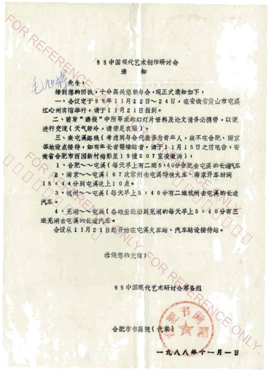## 88中国现代艺术创作研讨会

知

九日 先生

**ORREA** 

接到您的回执,十分高兴您能与会,现正式通知如下:

一、会议定于88年11月22日~24日,在安徽省黄山市屯溪 江心州宾馆举行,请于11月21日报到。

二、前发"通报"中所要求的幻灯片资料及论文请务必携带,以便 讲行交流(天气较冷,请带足衣服)。

三、来屯溪路线(考虑到与会代表多为青年人,故不在合肥、南京 等地设点接待,如有年长者需接站者,请于11月15日之前电告:安 微省合肥市西园新村梅影里19幢607室凌微涛):

1、合肥~~屯溪(每天早上有二班5:40分合肥去屯溪的长途在

/2、南京~~屯溪(67次常州去屯溪特快火车、南京开车时间 15 《4 4分到屯溪晚上10点。

3、杭州へへ屯溪(每天早上5:40分有二班杭州去屯溪的长途 汽车。

4、芜湖~~屯溪(各地坐轮船到芜湖的每天早上5:40分有三 班芜湖去屯溪的长途汽车。

会议从11月21日起开始在屯溪火车站、汽车站设接待站。

恭侯您的光临人

88中国现代艺术研讨会筹备组

九八八年十一月。

W

合肥市书画院(代章)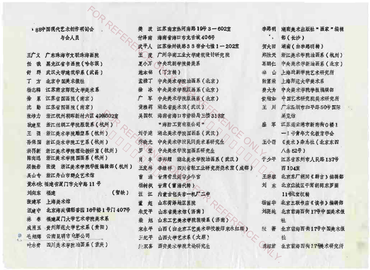| ▶ 88中国现代艺术创作研讨会 |                       | 樊<br>波 | 江苏南京热河南路19号3-602室    | 李路明                         | 湖南美术出版社"画家"编辑  |
|-----------------|-----------------------|--------|----------------------|-----------------------------|----------------|
|                 | 与会人员                  | 付泽南    | 海南省海口市龙舌坡 406号       | $\mathcal{L}_{\mathcal{D}}$ | 部(长沙)          |
|                 |                       | 武平人    | 江苏徐州铁路33宿舍七幢1-202室   | 贺大田                         | 湖南(由李路明转)      |
| 王广义             | 广东珠海市文联珠海画院           | 玉<br>度 | 广州华南工业大学建筑设计研究院      | 郑胜天                         | 浙江美术学院油画系(杭州)  |
| 任<br>戬          | 黑龙江省书画院 (哈尔滨)         | 夏小万    | 中央戏剧学院舞美系            | 為鹏仁                         | 中央美术学新油画系 (北京) |
| 群<br>舒          | 武汉大学建筑学系 (武昌)         | 施本铭    | (丁方转)                | 盗<br>山                      | 上海戏剧学院艺术研究所    |
| 方<br>T.         | 北京中国美术报社              | 孟禄丁    | 中央美术学院油画系 (北京)       | 张富荣                         | 上海师范大学美术系      |
| 杨志麟             | 江苏南京师范大学美术系           | 徐<br>冰 | 中央美术学院版画系(北京)        | 费大为                         | 中央美术学院学报编辑部    |
| 徐<br>累          | 江苏省国画院(南京)            | 广<br>军 | 中央美术学院版画系 (北京)       | 食給如                         | 中国艺术研究院美术研究所   |
| 勤<br>沈          | 江苏省国画院(南京)            | 黄雅莉    | 湖北省美术院《武汉》           | 王<br>刑                      | 广东深圳市和平路50号国际  |
| 张培力             | 浙江杭州朝晖新村六区 43旅602室    | 吴国权    | 海南省海口市劳动局三楼313室      |                             | 展览馆            |
| 耿建翌             | 浙江丝绸工学院服装系《杭州》        |        | "海防工资有限公司"           | 盛<br>军                      | 江苏连云港市新南街0楼1   |
| 王强              | 浙江美术学院雕塑系《杭州》         | 刘子建    | 湖北美术学院国画系(武汉)        |                             | 一1号青年文化教育学会    |
| 孙保国             | 浙江美术学院工艺系(杭州)         | 乔晓光    | 中央美术学院民间美术系研究生       | 王小箭                         | 《美术》杂志社(北京东四   |
| 洪再新             | 浙江美术学院理论教研室(杭州)       | 罗<br>莹 | 中央美术学院国画系研究生         |                             | 八条 62号)        |
| 陈向迅             | 浙江美术学院国画系(杭州)         | 鼠<br>丰 | 湖北美术学院油画系(武汉)<br>李邦耀 | 于少平                         | 江苏省苏州市人民路137号  |
| 顾损岩             | 张捷 浙江美术学院学报编辑部(杭州)    | 王发林    | 李继祥 四川省轻工业研究所类术室(成都) |                             | 西 104室         |
| 吴山专             | 浙江舟山市群众艺术馆            | 涌<br>曹 | 甘肃省兰端命分学宫            | 王碧蓉                         | 北京东厂胡同《群言》编辑部  |
|                 | 黄永砂 福建省厦门市大中路11号      | 杨树枫    | 甘肃(曹涌代转)             | 刘<br>东                      | 北京森城区干面胡同东罗圈   |
| 刘向东             | 福建<br>(暫缺)            | 迁<br>江 | 内蒙古包头市一机厂二中          |                             | 11号戈宝权转        |
| 张建军             | 上海美术馆                 | 超<br>董 | 山东荷泽地区医院             | 杨丽华                         | 北京三联书店《读书》编辑部  |
| 汪建中             | 北京海淀镇稻香园 16号楼1号门 407号 | 朱艾平    | 山东省美术馆(济南)           | 刘骁纯                         | 北京前海西街17号中国美术报 |
| 林 春             | 福建厦门大学艺术学院美术系         | 旭<br>柴 | 山东工艺美术学院装璜系 (济南)     |                             | 社              |
| 成肖玉             | 贵州师范大学艺术系(贵阳)         | 宋永平    | 山西(由北京工艺美术学校教师宋永红转)  | 誤<br>蔷                      | 北京前海西街17号中国美术报 |
| 毛旭辉             | 云南昆明市电影公司             | 手纪平    | 山西大学艺术系《太原》          |                             | 社              |
| 叶永寶             | 四川美术学院油画系(窗庆)         | 人喜     | 西安美术学院史论研究生          | 環經君                         | 北京前海西街!? 镁术研究所 |

 $\frac{1}{2}$ 

 $\cdot$